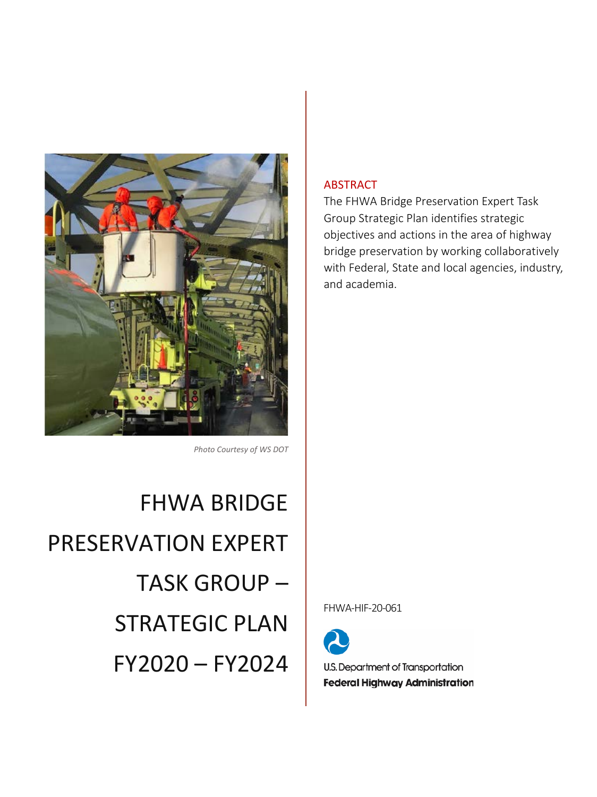

*Photo Courtesy of WS DOT* 

FHWA BRIDGE PRESERVATION EXPERT TASK GROUP – STRATEGIC PLAN FY2020 – FY2024

## ABSTRACT

The FHWA Bridge Preservation Expert Task Group Strategic Plan identifies strategic objectives and actions in the area of highway bridge preservation by working collaboratively with Federal, State and local agencies, industry, and academia.

FHWA-HIF-20-061



U.S. Department of Transportation **Federal Highway Administration**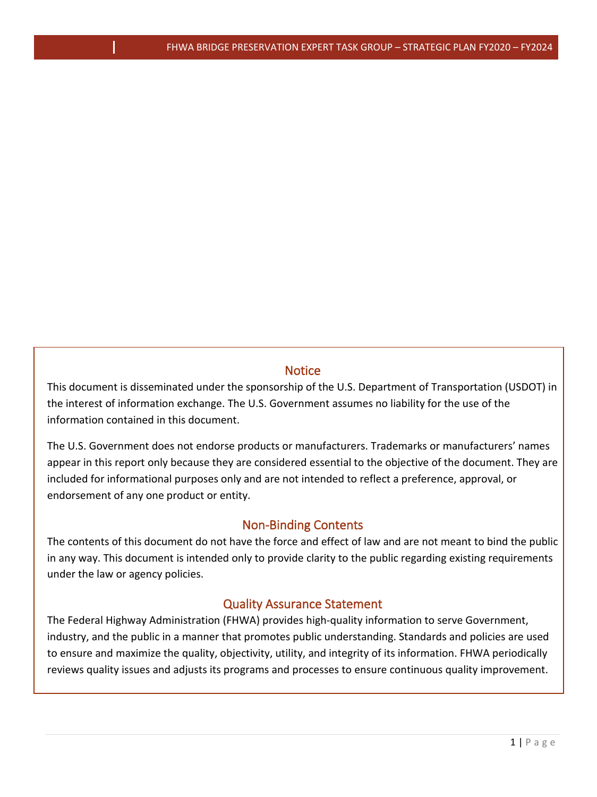## **Notice**

<span id="page-1-0"></span>This document is disseminated under the sponsorship of the U.S. Department of Transportation (USDOT) in the interest of information exchange. The U.S. Government assumes no liability for the use of the information contained in this document.

The U.S. Government does not endorse products or manufacturers. Trademarks or manufacturers' names appear in this report only because they are considered essential to the objective of the document. They are included for informational purposes only and are not intended to reflect a preference, approval, or endorsement of any one product or entity.

## Non-Binding Contents

<span id="page-1-1"></span>The contents of this document do not have the force and effect of law and are not meant to bind the public in any way. This document is intended only to provide clarity to the public regarding existing requirements under the law or agency policies.

## Quality Assurance Statement

<span id="page-1-2"></span>The Federal Highway Administration (FHWA) provides high-quality information to serve Government, industry, and the public in a manner that promotes public understanding. Standards and policies are used to ensure and maximize the quality, objectivity, utility, and integrity of its information. FHWA periodically reviews quality issues and adjusts its programs and processes to ensure continuous quality improvement.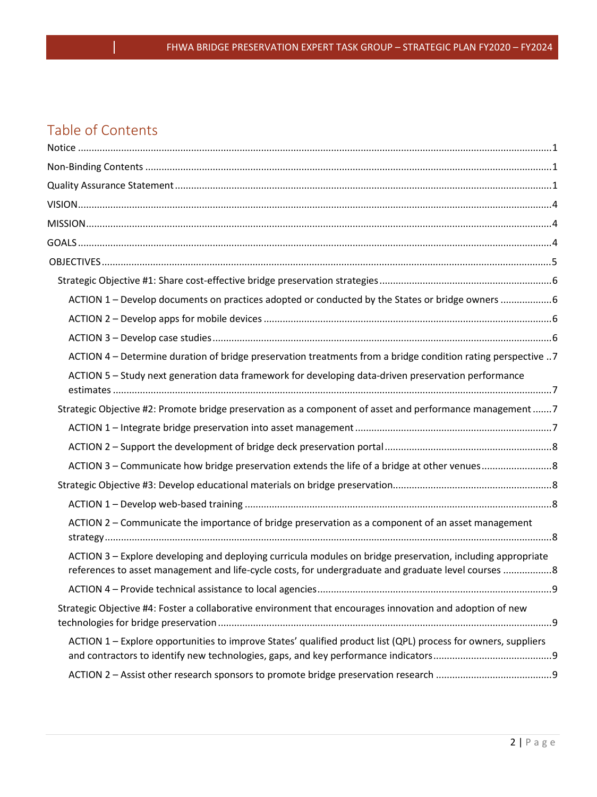## Table of Contents

| ACTION 1 - Develop documents on practices adopted or conducted by the States or bridge owners 6                                                                                                                    |  |
|--------------------------------------------------------------------------------------------------------------------------------------------------------------------------------------------------------------------|--|
|                                                                                                                                                                                                                    |  |
|                                                                                                                                                                                                                    |  |
| ACTION 4 - Determine duration of bridge preservation treatments from a bridge condition rating perspective 7                                                                                                       |  |
| ACTION 5 - Study next generation data framework for developing data-driven preservation performance                                                                                                                |  |
| Strategic Objective #2: Promote bridge preservation as a component of asset and performance management 7                                                                                                           |  |
|                                                                                                                                                                                                                    |  |
|                                                                                                                                                                                                                    |  |
|                                                                                                                                                                                                                    |  |
|                                                                                                                                                                                                                    |  |
|                                                                                                                                                                                                                    |  |
| ACTION 2 – Communicate the importance of bridge preservation as a component of an asset management                                                                                                                 |  |
| ACTION 3 – Explore developing and deploying curricula modules on bridge preservation, including appropriate<br>references to asset management and life-cycle costs, for undergraduate and graduate level courses 8 |  |
|                                                                                                                                                                                                                    |  |
| Strategic Objective #4: Foster a collaborative environment that encourages innovation and adoption of new                                                                                                          |  |
| ACTION 1 - Explore opportunities to improve States' qualified product list (QPL) process for owners, suppliers                                                                                                     |  |
|                                                                                                                                                                                                                    |  |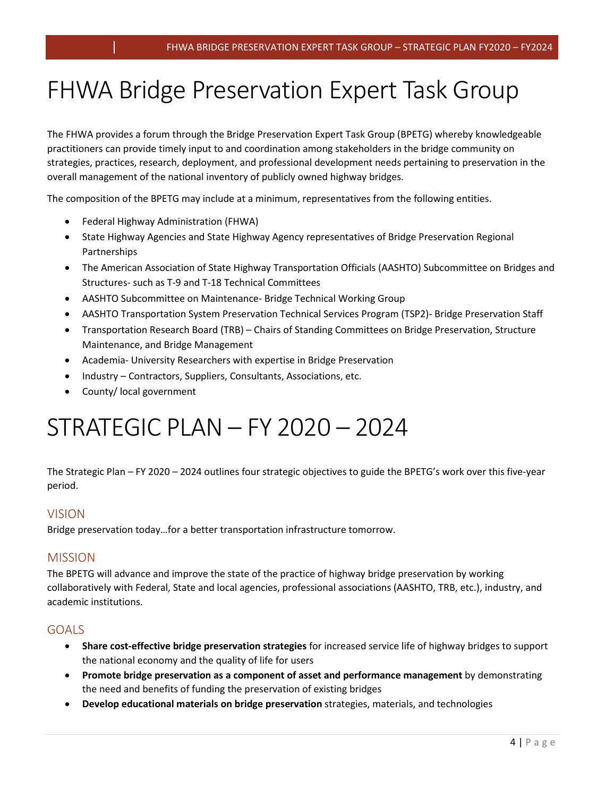## FHWA Bridge Preservation Expert Task Group

The FHWA provides a forum through the Bridge Preservation Expert Task Group (BPETG) whereby knowledgeable practitioners can provide timely input to and coordination among stakeholders in the bridge community on strategies, practices, research, deployment, and professional development needs pertaining to preservation in the overall management of the national inventory of publicly owned highway bridges.

The composition of the BPETG may include at a minimum, representatives from the following entities.

- Federal Highway Administration (FHWA)
- State Highway Agencies and State Highway Agency representatives of Bridge Preservation Regional Partnerships
- The American Association of State Highway Transportation Officials (AASHTO) Subcommittee on Bridges and Structures- such as T-9 and T-18 Technical Committees
- AASHTO Subcommittee on Maintenance- Bridge Technical Working Group
- AASHTO Transportation System Preservation Technical Services Program (TSP2)- Bridge Preservation Staff
- Transportation Research Board (TRB) Chairs of Standing Committees on Bridge Preservation, Structure Maintenance, and Bridge Management
- Academia- University Researchers with expertise in Bridge Preservation
- Industry Contractors, Suppliers, Consultants, Associations, etc.
- County/ local government

# STRATEGIC PLAN – FY 2020 – 2024

The Strategic Plan – FY 2020 – 2024 outlines four strategic objectives to guide the BPETG's work over this five-year period.

## <span id="page-4-0"></span>VISION

Bridge preservation today…for a better transportation infrastructure tomorrow.

## <span id="page-4-1"></span>MISSION

The BPETG will advance and improve the state of the practice of highway bridge preservation by working collaboratively with Federal, State and local agencies, professional associations (AASHTO, TRB, etc.), industry, and academic institutions.

## <span id="page-4-2"></span>GOALS

- **Share cost-effective bridge preservation strategies** for increased service life of highway bridges to support the national economy and the quality of life for users
- **Promote bridge preservation as a component of asset and performance management** by demonstrating the need and benefits of funding the preservation of existing bridges
- **Develop educational materials on bridge preservation** strategies, materials, and technologies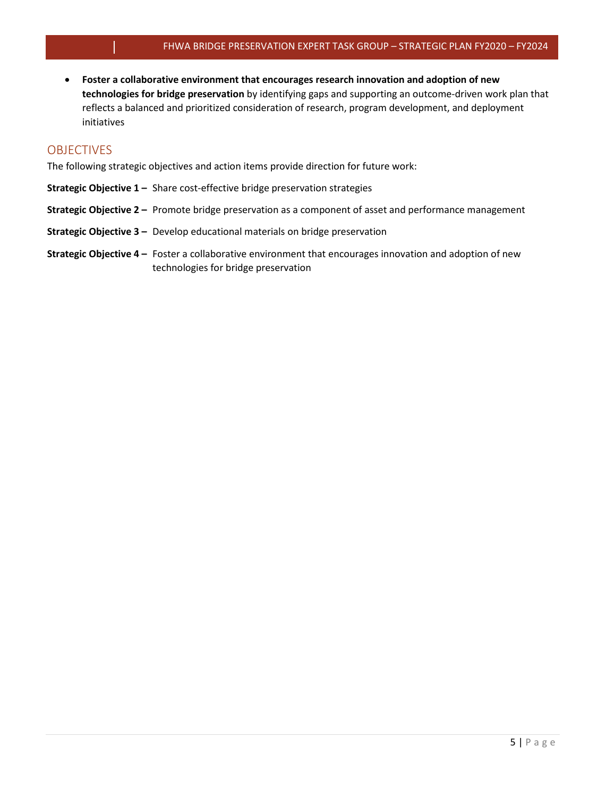• **Foster a collaborative environment that encourages research innovation and adoption of new technologies for bridge preservation** by identifying gaps and supporting an outcome-driven work plan that reflects a balanced and prioritized consideration of research, program development, and deployment initiatives

### <span id="page-5-0"></span>OBJECTIVES

The following strategic objectives and action items provide direction for future work:

- **Strategic Objective 1** Share cost-effective bridge preservation strategies
- **Strategic Objective 2** Promote bridge preservation as a component of asset and performance management
- **Strategic Objective 3** Develop educational materials on bridge preservation
- **Strategic Objective 4** Foster a collaborative environment that encourages innovation and adoption of new technologies for bridge preservation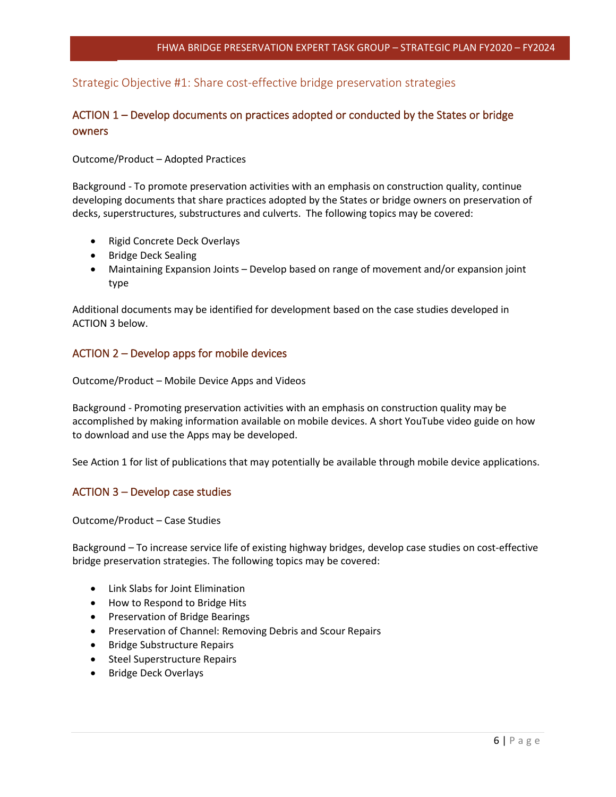## Strategic Objective #1: Share cost-effective bridge preservation strategies

## <span id="page-6-1"></span><span id="page-6-0"></span>ACTION 1 – Develop documents on practices adopted or conducted by the States or bridge owners

#### Outcome/Product – Adopted Practices

Background - To promote preservation activities with an emphasis on construction quality, continue developing documents that share practices adopted by the States or bridge owners on preservation of decks, superstructures, substructures and culverts. The following topics may be covered:

- Rigid Concrete Deck Overlays
- Bridge Deck Sealing
- Maintaining Expansion Joints Develop based on range of movement and/or expansion joint type

Additional documents may be identified for development based on the case studies developed in ACTION 3 below.

#### ACTION 2 – Develop apps for mobile devices

<span id="page-6-2"></span>Outcome/Product – Mobile Device Apps and Videos

Background - Promoting preservation activities with an emphasis on construction quality may be accomplished by making information available on mobile devices. A short YouTube video guide on how to download and use the Apps may be developed.

See Action 1 for list of publications that may potentially be available through mobile device applications.

### ACTION 3 – Develop case studies

<span id="page-6-3"></span>Outcome/Product – Case Studies

Background – To increase service life of existing highway bridges, develop case studies on cost-effective bridge preservation strategies. The following topics may be covered:

- Link Slabs for Joint Elimination
- How to Respond to Bridge Hits
- Preservation of Bridge Bearings
- Preservation of Channel: Removing Debris and Scour Repairs
- Bridge Substructure Repairs
- Steel Superstructure Repairs
- Bridge Deck Overlays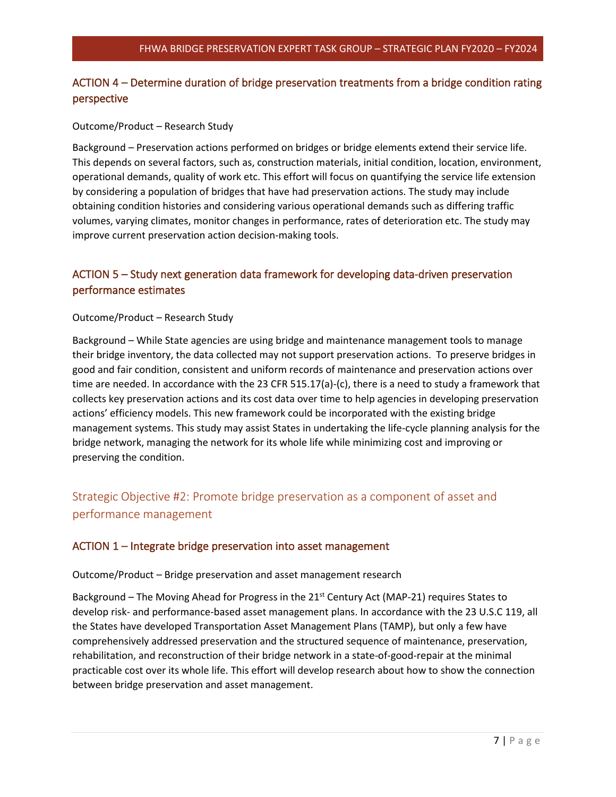## ACTION 4 – Determine duration of bridge preservation treatments from a bridge condition rating perspective

#### <span id="page-7-0"></span>Outcome/Product – Research Study

Background – Preservation actions performed on bridges or bridge elements extend their service life. This depends on several factors, such as, construction materials, initial condition, location, environment, operational demands, quality of work etc. This effort will focus on quantifying the service life extension by considering a population of bridges that have had preservation actions. The study may include obtaining condition histories and considering various operational demands such as differing traffic volumes, varying climates, monitor changes in performance, rates of deterioration etc. The study may improve current preservation action decision-making tools.

## <span id="page-7-1"></span>ACTION 5 – Study next generation data framework for developing data-driven preservation performance estimates

#### Outcome/Product – Research Study

Background – While State agencies are using bridge and maintenance management tools to manage their bridge inventory, the data collected may not support preservation actions. To preserve bridges in good and fair condition, consistent and uniform records of maintenance and preservation actions over time are needed. In accordance with the 23 CFR 515.17(a)-(c), there is a need to study a framework that collects key preservation actions and its cost data over time to help agencies in developing preservation actions' efficiency models. This new framework could be incorporated with the existing bridge management systems. This study may assist States in undertaking the life-cycle planning analysis for the bridge network, managing the network for its whole life while minimizing cost and improving or preserving the condition.

## <span id="page-7-2"></span>Strategic Objective #2: Promote bridge preservation as a component of asset and performance management

#### ACTION 1 – Integrate bridge preservation into asset management

#### <span id="page-7-3"></span>Outcome/Product – Bridge preservation and asset management research

Background - The Moving Ahead for Progress in the 21<sup>st</sup> Century Act (MAP-21) requires States to develop risk- and performance-based asset management plans. In accordance with the 23 U.S.C 119, all the States have developed Transportation Asset Management Plans (TAMP), but only a few have comprehensively addressed preservation and the structured sequence of maintenance, preservation, rehabilitation, and reconstruction of their bridge network in a state-of-good-repair at the minimal practicable cost over its whole life. This effort will develop research about how to show the connection between bridge preservation and asset management.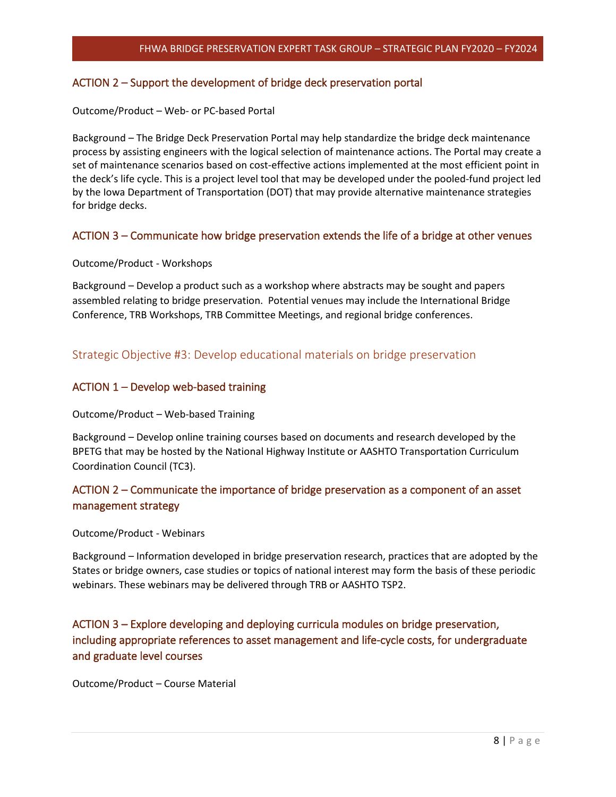#### ACTION 2 – Support the development of bridge deck preservation portal

#### <span id="page-8-0"></span>Outcome/Product – Web- or PC-based Portal

Background – The Bridge Deck Preservation Portal may help standardize the bridge deck maintenance process by assisting engineers with the logical selection of maintenance actions. The Portal may create a set of maintenance scenarios based on cost-effective actions implemented at the most efficient point in the deck's life cycle. This is a project level tool that may be developed under the pooled-fund project led by the Iowa Department of Transportation (DOT) that may provide alternative maintenance strategies for bridge decks.

#### ACTION 3 – Communicate how bridge preservation extends the life of a bridge at other venues

#### <span id="page-8-1"></span>Outcome/Product - Workshops

Background – Develop a product such as a workshop where abstracts may be sought and papers assembled relating to bridge preservation. Potential venues may include the International Bridge Conference, TRB Workshops, TRB Committee Meetings, and regional bridge conferences.

## Strategic Objective #3: Develop educational materials on bridge preservation

#### <span id="page-8-2"></span>ACTION 1 – Develop web-based training

#### <span id="page-8-3"></span>Outcome/Product – Web-based Training

Background – Develop online training courses based on documents and research developed by the BPETG that may be hosted by the National Highway Institute or AASHTO Transportation Curriculum Coordination Council (TC3).

## ACTION 2 – Communicate the importance of bridge preservation as a component of an asset management strategy

#### <span id="page-8-4"></span>Outcome/Product - Webinars

Background – Information developed in bridge preservation research, practices that are adopted by the States or bridge owners, case studies or topics of national interest may form the basis of these periodic webinars. These webinars may be delivered through TRB or AASHTO TSP2.

## <span id="page-8-5"></span>ACTION 3 – Explore developing and deploying curricula modules on bridge preservation, including appropriate references to asset management and life-cycle costs, for undergraduate and graduate level courses

Outcome/Product – Course Material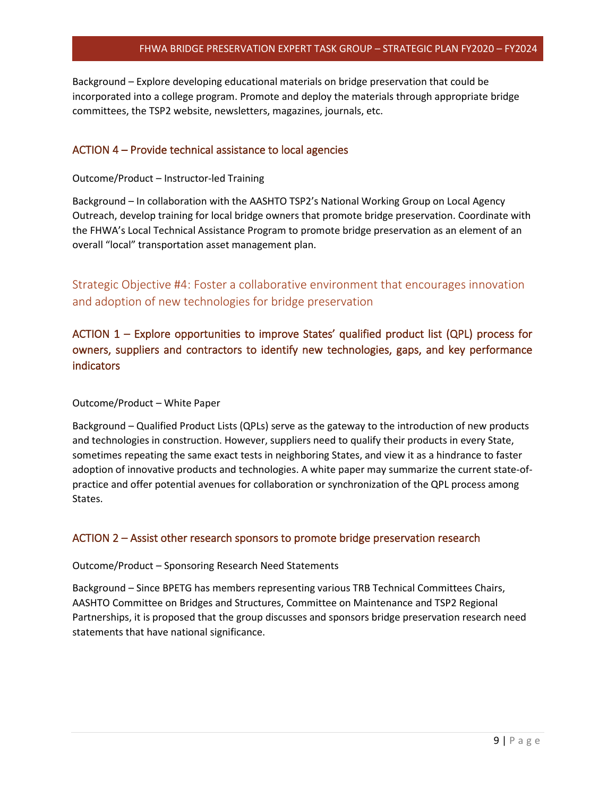#### FHWA BRIDGE PRESERVATION EXPERT TASK GROUP – STRATEGIC PLAN FY2020 – FY2024

Background – Explore developing educational materials on bridge preservation that could be incorporated into a college program. Promote and deploy the materials through appropriate bridge committees, the TSP2 website, newsletters, magazines, journals, etc.

#### ACTION 4 – Provide technical assistance to local agencies

#### <span id="page-9-0"></span>Outcome/Product – Instructor-led Training

Background – In collaboration with the AASHTO TSP2's National Working Group on Local Agency Outreach, develop training for local bridge owners that promote bridge preservation. Coordinate with the FHWA's Local Technical Assistance Program to promote bridge preservation as an element of an overall "local" transportation asset management plan.

<span id="page-9-1"></span>Strategic Objective #4: Foster a collaborative environment that encourages innovation and adoption of new technologies for bridge preservation

## <span id="page-9-2"></span>ACTION 1 – Explore opportunities to improve States' qualified product list (QPL) process for owners, suppliers and contractors to identify new technologies, gaps, and key performance indicators

#### Outcome/Product – White Paper

Background – Qualified Product Lists (QPLs) serve as the gateway to the introduction of new products and technologies in construction. However, suppliers need to qualify their products in every State, sometimes repeating the same exact tests in neighboring States, and view it as a hindrance to faster adoption of innovative products and technologies. A white paper may summarize the current state-ofpractice and offer potential avenues for collaboration or synchronization of the QPL process among States.

#### ACTION 2 – Assist other research sponsors to promote bridge preservation research

#### <span id="page-9-3"></span>Outcome/Product – Sponsoring Research Need Statements

Background – Since BPETG has members representing various TRB Technical Committees Chairs, AASHTO Committee on Bridges and Structures, Committee on Maintenance and TSP2 Regional Partnerships, it is proposed that the group discusses and sponsors bridge preservation research need statements that have national significance.